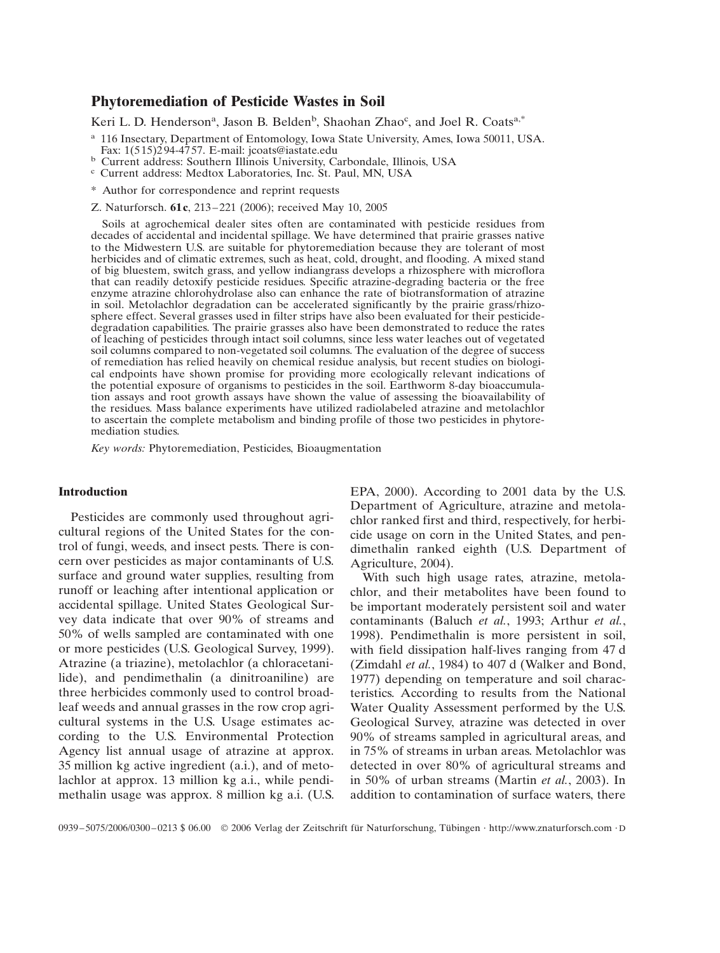# **Phytoremediation of Pesticide Wastes in Soil**

Keri L. D. Henderson<sup>a</sup>, Jason B. Belden<sup>b</sup>, Shaohan Zhao<sup>c</sup>, and Joel R. Coats<sup>a,\*</sup>

<sup>a</sup> 116 Insectary, Department of Entomology, Iowa State University, Ames, Iowa 50011, USA.<br>Fax: 1(515)294-4757. E-mail: jcoats@iastate.edu

<sup>b</sup> Current address: Southern Illinois University, Carbondale, Illinois, USA c Current address: Medtox Laboratories, Inc. St. Paul, MN, USA

\* Author for correspondence and reprint requests

Z. Naturforsch. 61c, 213-221 (2006); received May 10, 2005

Soils at agrochemical dealer sites often are contaminated with pesticide residues from decades of accidental and incidental spillage. We have determined that prairie grasses native to the Midwestern U.S. are suitable for phytoremediation because they are tolerant of most herbicides and of climatic extremes, such as heat, cold, drought, and flooding. A mixed stand of big bluestem, switch grass, and yellow indiangrass develops a rhizosphere with microflora that can readily detoxify pesticide residues. Specific atrazine-degrading bacteria or the free enzyme atrazine chlorohydrolase also can enhance the rate of biotransformation of atrazine in soil. Metolachlor degradation can be accelerated significantly by the prairie grass/rhizosphere effect. Several grasses used in filter strips have also been evaluated for their pesticidedegradation capabilities. The prairie grasses also have been demonstrated to reduce the rates of leaching of pesticides through intact soil columns, since less water leaches out of vegetated soil columns compared to non-vegetated soil columns. The evaluation of the degree of success of remediation has relied heavily on chemical residue analysis, but recent studies on biological endpoints have shown promise for providing more ecologically relevant indications of the potential exposure of organisms to pesticides in the soil. Earthworm 8-day bioaccumulation assays and root growth assays have shown the value of assessing the bioavailability of the residues. Mass balance experiments have utilized radiolabeled atrazine and metolachlor to ascertain the complete metabolism and binding profile of those two pesticides in phytoremediation studies.

*Key words:* Phytoremediation, Pesticides, Bioaugmentation

## **Introduction**

Pesticides are commonly used throughout agricultural regions of the United States for the control of fungi, weeds, and insect pests. There is concern over pesticides as major contaminants of U.S. surface and ground water supplies, resulting from runoff or leaching after intentional application or accidental spillage. United States Geological Survey data indicate that over 90% of streams and 50% of wells sampled are contaminated with one or more pesticides (U.S. Geological Survey, 1999). Atrazine (a triazine), metolachlor (a chloracetanilide), and pendimethalin (a dinitroaniline) are three herbicides commonly used to control broadleaf weeds and annual grasses in the row crop agricultural systems in the U.S. Usage estimates according to the U.S. Environmental Protection Agency list annual usage of atrazine at approx. 35 million kg active ingredient (a.i.), and of metolachlor at approx. 13 million kg a.i., while pendimethalin usage was approx. 8 million kg a.i. (U.S. EPA, 2000). According to 2001 data by the U.S. Department of Agriculture, atrazine and metolachlor ranked first and third, respectively, for herbicide usage on corn in the United States, and pendimethalin ranked eighth (U.S. Department of Agriculture, 2004).

With such high usage rates, atrazine, metolachlor, and their metabolites have been found to be important moderately persistent soil and water contaminants (Baluch *et al.*, 1993; Arthur *et al.*, 1998). Pendimethalin is more persistent in soil, with field dissipation half-lives ranging from 47 d (Zimdahl *et al.*, 1984) to 407 d (Walker and Bond, 1977) depending on temperature and soil characteristics. According to results from the National Water Quality Assessment performed by the U.S. Geological Survey, atrazine was detected in over 90% of streams sampled in agricultural areas, and in 75% of streams in urban areas. Metolachlor was detected in over 80% of agricultural streams and in 50% of urban streams (Martin *et al.*, 2003). In addition to contamination of surface waters, there

0939–5075/2006/0300–0213 \$ 06.00 © 2006 Verlag der Zeitschrift für Naturforschung, Tübingen · http://www.znaturforsch.com · D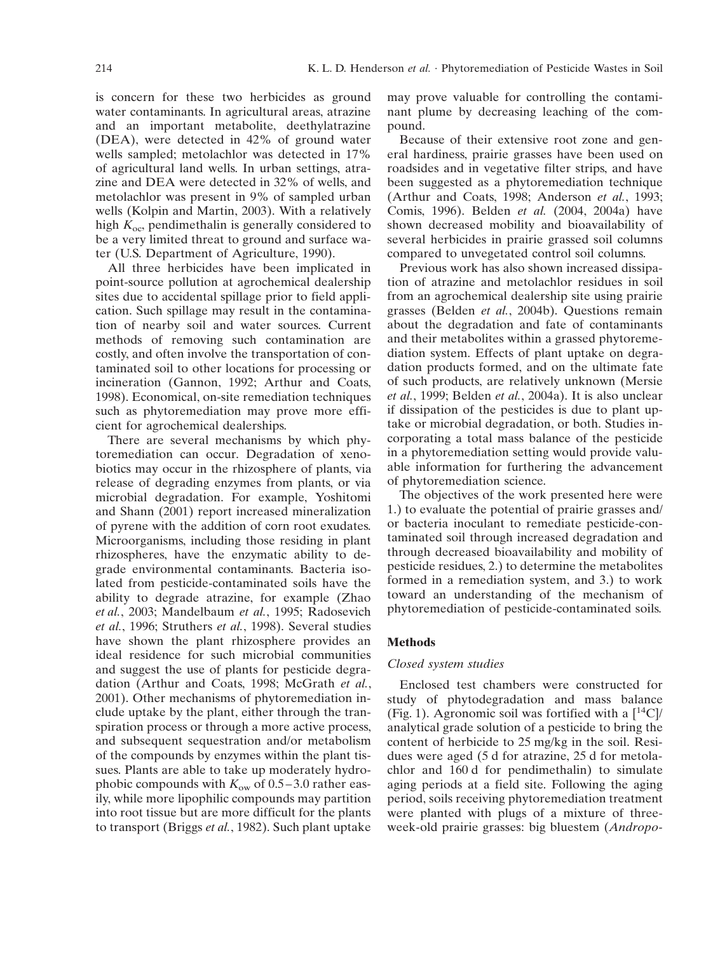is concern for these two herbicides as ground water contaminants. In agricultural areas, atrazine and an important metabolite, deethylatrazine (DEA), were detected in 42% of ground water wells sampled; metolachlor was detected in 17% of agricultural land wells. In urban settings, atrazine and DEA were detected in 32% of wells, and metolachlor was present in 9% of sampled urban wells (Kolpin and Martin, 2003). With a relatively high  $K_{\rm oc}$ , pendimethalin is generally considered to be a very limited threat to ground and surface water (U.S. Department of Agriculture, 1990).

All three herbicides have been implicated in point-source pollution at agrochemical dealership sites due to accidental spillage prior to field application. Such spillage may result in the contamination of nearby soil and water sources. Current methods of removing such contamination are costly, and often involve the transportation of contaminated soil to other locations for processing or incineration (Gannon, 1992; Arthur and Coats, 1998). Economical, on-site remediation techniques such as phytoremediation may prove more efficient for agrochemical dealerships.

There are several mechanisms by which phytoremediation can occur. Degradation of xenobiotics may occur in the rhizosphere of plants, via release of degrading enzymes from plants, or via microbial degradation. For example, Yoshitomi and Shann (2001) report increased mineralization of pyrene with the addition of corn root exudates. Microorganisms, including those residing in plant rhizospheres, have the enzymatic ability to degrade environmental contaminants. Bacteria isolated from pesticide-contaminated soils have the ability to degrade atrazine, for example (Zhao *et al.*, 2003; Mandelbaum *et al.*, 1995; Radosevich *et al.*, 1996; Struthers *et al.*, 1998). Several studies have shown the plant rhizosphere provides an ideal residence for such microbial communities and suggest the use of plants for pesticide degradation (Arthur and Coats, 1998; McGrath *et al.*, 2001). Other mechanisms of phytoremediation include uptake by the plant, either through the transpiration process or through a more active process, and subsequent sequestration and/or metabolism of the compounds by enzymes within the plant tissues. Plants are able to take up moderately hydrophobic compounds with  $K_{ow}$  of 0.5–3.0 rather easily, while more lipophilic compounds may partition into root tissue but are more difficult for the plants to transport (Briggs *et al.*, 1982). Such plant uptake may prove valuable for controlling the contaminant plume by decreasing leaching of the compound.

Because of their extensive root zone and general hardiness, prairie grasses have been used on roadsides and in vegetative filter strips, and have been suggested as a phytoremediation technique (Arthur and Coats, 1998; Anderson *et al.*, 1993; Comis, 1996). Belden *et al.* (2004, 2004a) have shown decreased mobility and bioavailability of several herbicides in prairie grassed soil columns compared to unvegetated control soil columns.

Previous work has also shown increased dissipation of atrazine and metolachlor residues in soil from an agrochemical dealership site using prairie grasses (Belden *et al.*, 2004b). Questions remain about the degradation and fate of contaminants and their metabolites within a grassed phytoremediation system. Effects of plant uptake on degradation products formed, and on the ultimate fate of such products, are relatively unknown (Mersie *et al.*, 1999; Belden *et al.*, 2004a). It is also unclear if dissipation of the pesticides is due to plant uptake or microbial degradation, or both. Studies incorporating a total mass balance of the pesticide in a phytoremediation setting would provide valuable information for furthering the advancement of phytoremediation science.

The objectives of the work presented here were 1.) to evaluate the potential of prairie grasses and/ or bacteria inoculant to remediate pesticide-contaminated soil through increased degradation and through decreased bioavailability and mobility of pesticide residues, 2.) to determine the metabolites formed in a remediation system, and 3.) to work toward an understanding of the mechanism of phytoremediation of pesticide-contaminated soils.

### **Methods**

#### *Closed system studies*

Enclosed test chambers were constructed for study of phytodegradation and mass balance (Fig. 1). Agronomic soil was fortified with a  $[$ <sup>14</sup>C $]$ / analytical grade solution of a pesticide to bring the content of herbicide to 25 mg/kg in the soil. Residues were aged (5 d for atrazine, 25 d for metolachlor and 160 d for pendimethalin) to simulate aging periods at a field site. Following the aging period, soils receiving phytoremediation treatment were planted with plugs of a mixture of threeweek-old prairie grasses: big bluestem (*Andropo-*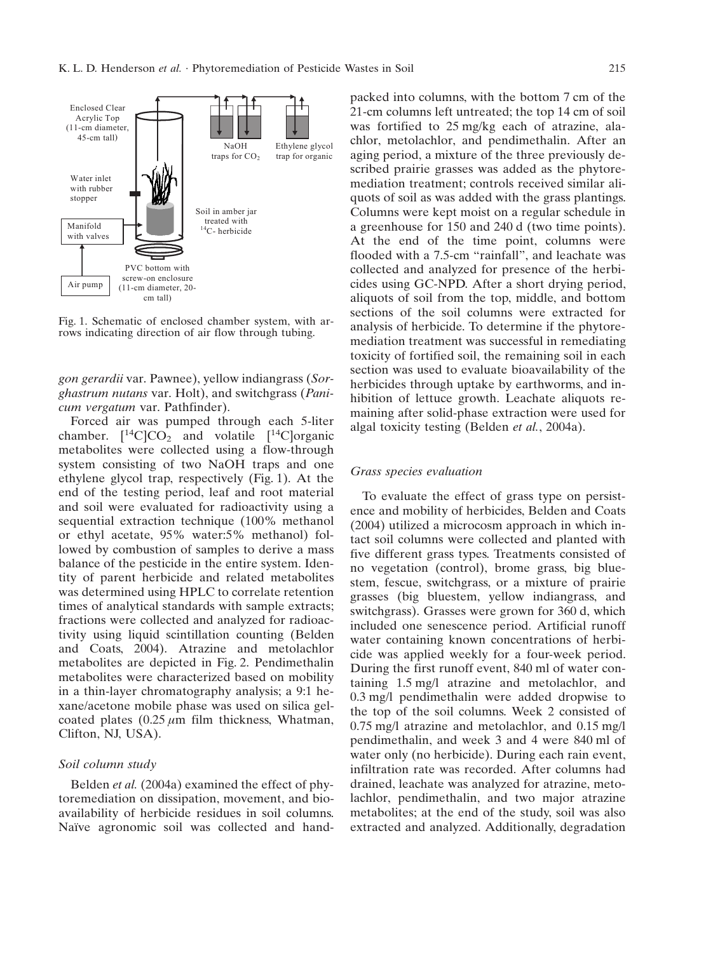

Fig. 1. Schematic of enclosed chamber system, with arrows indicating direction of air flow through tubing.

*gon gerardii* var. Pawnee), yellow indiangrass (*Sorghastrum nutans* var. Holt), and switchgrass (*Panicum vergatum* var. Pathfinder).

Forced air was pumped through each 5-liter chamber.  $[{}^{14}C]CO_2$  and volatile  $[{}^{14}C]organic$ metabolites were collected using a flow-through system consisting of two NaOH traps and one ethylene glycol trap, respectively (Fig. 1). At the end of the testing period, leaf and root material and soil were evaluated for radioactivity using a sequential extraction technique (100% methanol or ethyl acetate, 95% water:5% methanol) followed by combustion of samples to derive a mass balance of the pesticide in the entire system. Identity of parent herbicide and related metabolites was determined using HPLC to correlate retention times of analytical standards with sample extracts; fractions were collected and analyzed for radioactivity using liquid scintillation counting (Belden and Coats, 2004). Atrazine and metolachlor metabolites are depicted in Fig. 2. Pendimethalin metabolites were characterized based on mobility in a thin-layer chromatography analysis; a 9:1 hexane/acetone mobile phase was used on silica gelcoated plates  $(0.25 \mu m)$  film thickness, Whatman, Clifton, NJ, USA).

## *Soil column study*

Belden *et al.* (2004a) examined the effect of phytoremediation on dissipation, movement, and bioavailability of herbicide residues in soil columns. Naïve agronomic soil was collected and handpacked into columns, with the bottom 7 cm of the 21-cm columns left untreated; the top 14 cm of soil was fortified to 25 mg/kg each of atrazine, alachlor, metolachlor, and pendimethalin. After an aging period, a mixture of the three previously described prairie grasses was added as the phytoremediation treatment; controls received similar aliquots of soil as was added with the grass plantings. Columns were kept moist on a regular schedule in a greenhouse for 150 and 240 d (two time points). At the end of the time point, columns were flooded with a 7.5-cm "rainfall", and leachate was collected and analyzed for presence of the herbicides using GC-NPD. After a short drying period, aliquots of soil from the top, middle, and bottom sections of the soil columns were extracted for analysis of herbicide. To determine if the phytoremediation treatment was successful in remediating toxicity of fortified soil, the remaining soil in each section was used to evaluate bioavailability of the herbicides through uptake by earthworms, and inhibition of lettuce growth. Leachate aliquots remaining after solid-phase extraction were used for algal toxicity testing (Belden *et al.*, 2004a).

#### *Grass species evaluation*

To evaluate the effect of grass type on persistence and mobility of herbicides, Belden and Coats (2004) utilized a microcosm approach in which intact soil columns were collected and planted with five different grass types. Treatments consisted of no vegetation (control), brome grass, big bluestem, fescue, switchgrass, or a mixture of prairie grasses (big bluestem, yellow indiangrass, and switchgrass). Grasses were grown for 360 d, which included one senescence period. Artificial runoff water containing known concentrations of herbicide was applied weekly for a four-week period. During the first runoff event, 840 ml of water containing 1.5 mg/l atrazine and metolachlor, and 0.3 mg/l pendimethalin were added dropwise to the top of the soil columns. Week 2 consisted of 0.75 mg/l atrazine and metolachlor, and 0.15 mg/l pendimethalin, and week 3 and 4 were 840 ml of water only (no herbicide). During each rain event, infiltration rate was recorded. After columns had drained, leachate was analyzed for atrazine, metolachlor, pendimethalin, and two major atrazine metabolites; at the end of the study, soil was also extracted and analyzed. Additionally, degradation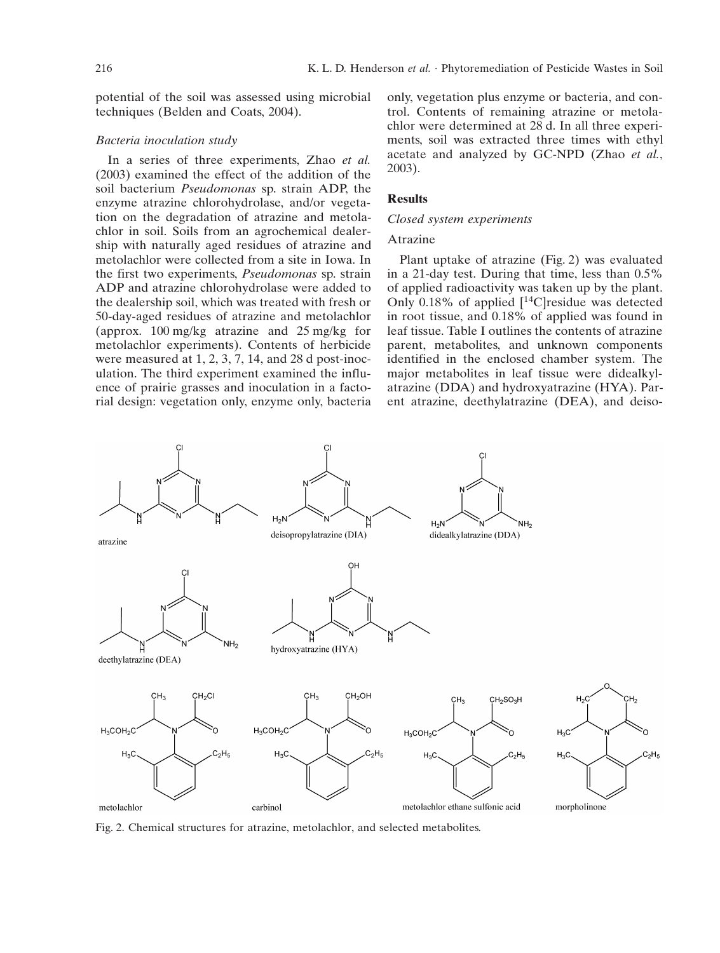potential of the soil was assessed using microbial techniques (Belden and Coats, 2004).

## *Bacteria inoculation study*

In a series of three experiments, Zhao *et al.* (2003) examined the effect of the addition of the soil bacterium *Pseudomonas* sp. strain ADP, the enzyme atrazine chlorohydrolase, and/or vegetation on the degradation of atrazine and metolachlor in soil. Soils from an agrochemical dealership with naturally aged residues of atrazine and metolachlor were collected from a site in Iowa. In the first two experiments, *Pseudomonas* sp. strain ADP and atrazine chlorohydrolase were added to the dealership soil, which was treated with fresh or 50-day-aged residues of atrazine and metolachlor (approx. 100 mg/kg atrazine and 25 mg/kg for metolachlor experiments). Contents of herbicide were measured at 1, 2, 3, 7, 14, and 28 d post-inoculation. The third experiment examined the influence of prairie grasses and inoculation in a factorial design: vegetation only, enzyme only, bacteria only, vegetation plus enzyme or bacteria, and control. Contents of remaining atrazine or metolachlor were determined at 28 d. In all three experiments, soil was extracted three times with ethyl acetate and analyzed by GC-NPD (Zhao *et al.*, 2003).

## **Results**

#### *Closed system experiments*

## Atrazine

Plant uptake of atrazine (Fig. 2) was evaluated in a 21-day test. During that time, less than 0.5% of applied radioactivity was taken up by the plant. Only 0.18% of applied  $[$ <sup>14</sup>C]residue was detected in root tissue, and 0.18% of applied was found in leaf tissue. Table I outlines the contents of atrazine parent, metabolites, and unknown components identified in the enclosed chamber system. The major metabolites in leaf tissue were didealkylatrazine (DDA) and hydroxyatrazine (HYA). Parent atrazine, deethylatrazine (DEA), and deiso-



Fig. 2. Chemical structures for atrazine, metolachlor, and selected metabolites.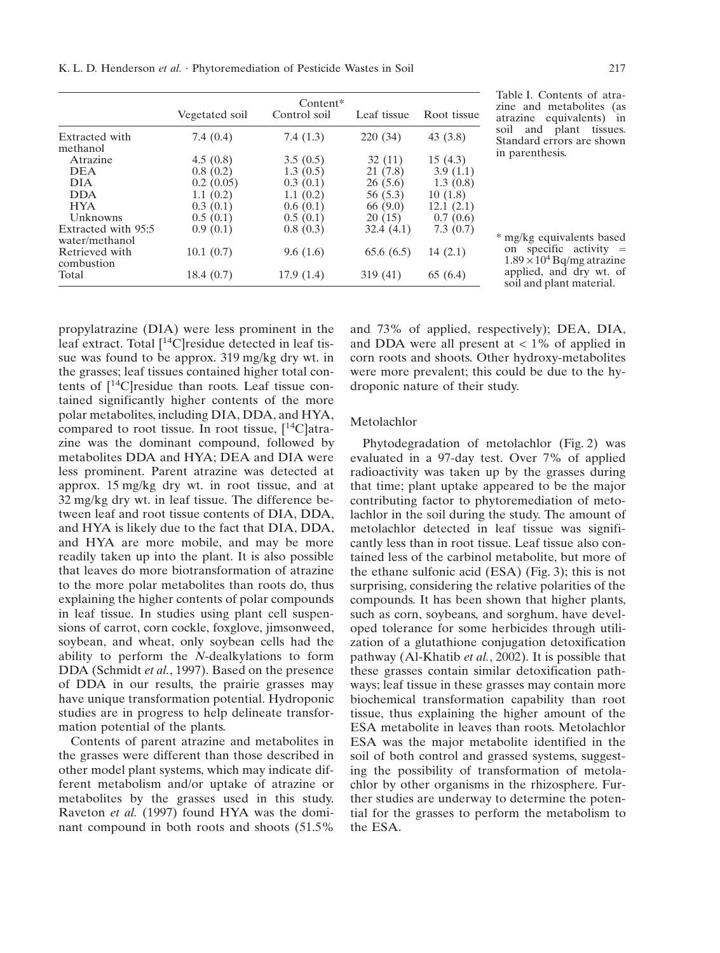K. L. D. Henderson *et al.* · Phytoremediation of Pesticide Wastes in Soil 217

|                                       | Vegetated soil | $Content*$<br>Control soil | Leaf tissue | Root tissue |
|---------------------------------------|----------------|----------------------------|-------------|-------------|
| Extracted with<br>methanol            | 7.4(0.4)       | 7.4(1.3)                   | 220(34)     | 43(3.8)     |
| Atrazine                              | 4.5(0.8)       | 3.5(0.5)                   | 32(11)      | 15(4.3)     |
| <b>DEA</b>                            | 0.8(0.2)       | 1.3(0.5)                   | 21(7.8)     | 3.9(1.1)    |
| <b>DIA</b>                            | 0.2(0.05)      | 0.3(0.1)                   | 26(5.6)     | 1.3(0.8)    |
| <b>DDA</b>                            | 1.1(0.2)       | 1.1(0.2)                   | 56 (5.3)    | 10(1.8)     |
| <b>HYA</b>                            | 0.3(0.1)       | 0.6(0.1)                   | 66 (9.0)    | 12.1(2.1)   |
| Unknowns                              | 0.5(0.1)       | 0.5(0.1)                   | 20(15)      | 0.7(0.6)    |
| Extracted with 95:5<br>water/methanol | 0.9(0.1)       | 0.8(0.3)                   | 32.4(4.1)   | 7.3(0.7)    |
| Retrieved with<br>combustion          | 10.1(0.7)      | 9.6(1.6)                   | 65.6(6.5)   | 14(2.1)     |
| Total                                 | 18.4(0.7)      | 17.9(1.4)                  | 319 (41)    | 65 (6.4)    |

Table I. Contents of atrazine and metabolites (as atrazine equivalents) in soil and plant tissues. Standard errors are shown in parenthesis.

\* mg/kg equivalents based on specific activity  $=$  $1.89 \times 10^4$  Bq/mg atrazine applied, and dry wt. of soil and plant material.

propylatrazine (DIA) were less prominent in the leaf extract. Total  $[$ <sup>14</sup>C $]$ residue detected in leaf tissue was found to be approx. 319 mg/kg dry wt. in the grasses; leaf tissues contained higher total contents of  $[14C]$ residue than roots. Leaf tissue contained significantly higher contents of the more polar metabolites, including DIA, DDA, and HYA, compared to root tissue. In root tissue,  $[14C]$ atrazine was the dominant compound, followed by metabolites DDA and HYA; DEA and DIA were less prominent. Parent atrazine was detected at approx. 15 mg/kg dry wt. in root tissue, and at 32 mg/kg dry wt. in leaf tissue. The difference between leaf and root tissue contents of DIA, DDA, and HYA is likely due to the fact that DIA, DDA, and HYA are more mobile, and may be more readily taken up into the plant. It is also possible that leaves do more biotransformation of atrazine to the more polar metabolites than roots do, thus explaining the higher contents of polar compounds in leaf tissue. In studies using plant cell suspensions of carrot, corn cockle, foxglove, jimsonweed, soybean, and wheat, only soybean cells had the ability to perform the *N*-dealkylations to form DDA (Schmidt *et al.*, 1997). Based on the presence of DDA in our results, the prairie grasses may have unique transformation potential. Hydroponic studies are in progress to help delineate transformation potential of the plants.

Contents of parent atrazine and metabolites in the grasses were different than those described in other model plant systems, which may indicate different metabolism and/or uptake of atrazine or metabolites by the grasses used in this study. Raveton *et al.* (1997) found HYA was the dominant compound in both roots and shoots (51.5%

and 73% of applied, respectively); DEA, DIA, and DDA were all present at  $< 1\%$  of applied in corn roots and shoots. Other hydroxy-metabolites were more prevalent; this could be due to the hydroponic nature of their study.

### Metolachlor

Phytodegradation of metolachlor (Fig. 2) was evaluated in a 97-day test. Over 7% of applied radioactivity was taken up by the grasses during that time; plant uptake appeared to be the major contributing factor to phytoremediation of metolachlor in the soil during the study. The amount of metolachlor detected in leaf tissue was significantly less than in root tissue. Leaf tissue also contained less of the carbinol metabolite, but more of the ethane sulfonic acid (ESA) (Fig. 3); this is not surprising, considering the relative polarities of the compounds. It has been shown that higher plants, such as corn, soybeans, and sorghum, have developed tolerance for some herbicides through utilization of a glutathione conjugation detoxification pathway (Al-Khatib *et al.*, 2002). It is possible that these grasses contain similar detoxification pathways; leaf tissue in these grasses may contain more biochemical transformation capability than root tissue, thus explaining the higher amount of the ESA metabolite in leaves than roots. Metolachlor ESA was the major metabolite identified in the soil of both control and grassed systems, suggesting the possibility of transformation of metolachlor by other organisms in the rhizosphere. Further studies are underway to determine the potential for the grasses to perform the metabolism to the ESA.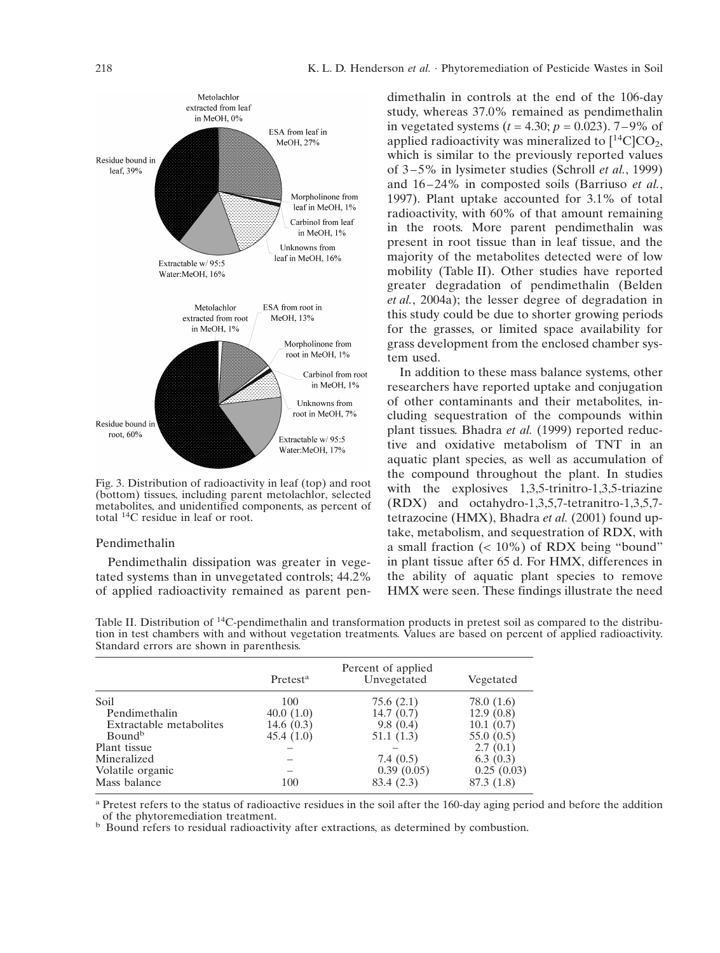

Fig. 3. Distribution of radioactivity in leaf (top) and root (bottom) tissues, including parent metolachlor, selected metabolites, and unidentified components, as percent of total 14C residue in leaf or root.

#### Pendimethalin

Pendimethalin dissipation was greater in vegetated systems than in unvegetated controls; 44.2% of applied radioactivity remained as parent pendimethalin in controls at the end of the 106-day study, whereas 37.0% remained as pendimethalin in vegetated systems  $(t = 4.30; p = 0.023)$ . 7–9% of applied radioactivity was mineralized to  $[^{14}C]CO<sub>2</sub>$ , which is similar to the previously reported values of 3–5% in lysimeter studies (Schroll *et al.*, 1999) and  $16-24\%$  in composted soils (Barriuso *et al.*, 1997). Plant uptake accounted for 3.1% of total radioactivity, with 60% of that amount remaining in the roots. More parent pendimethalin was present in root tissue than in leaf tissue, and the majority of the metabolites detected were of low mobility (Table II). Other studies have reported greater degradation of pendimethalin (Belden *et al.*, 2004a); the lesser degree of degradation in this study could be due to shorter growing periods for the grasses, or limited space availability for grass development from the enclosed chamber system used.

In addition to these mass balance systems, other researchers have reported uptake and conjugation of other contaminants and their metabolites, including sequestration of the compounds within plant tissues. Bhadra *et al.* (1999) reported reductive and oxidative metabolism of TNT in an aquatic plant species, as well as accumulation of the compound throughout the plant. In studies with the explosives 1,3,5-trinitro-1,3,5-triazine (RDX) and octahydro-1,3,5,7-tetranitro-1,3,5,7 tetrazocine (HMX), Bhadra *et al.* (2001) found uptake, metabolism, and sequestration of RDX, with a small fraction  $(< 10\%)$  of RDX being "bound" in plant tissue after 65 d. For HMX, differences in the ability of aquatic plant species to remove HMX were seen. These findings illustrate the need

Table II. Distribution of 14C-pendimethalin and transformation products in pretest soil as compared to the distribution in test chambers with and without vegetation treatments. Values are based on percent of applied radioactivity. Standard errors are shown in parenthesis.

|                         | Pretest <sup>a</sup> | Percent of applied<br>Unvegetated | Vegetated  |
|-------------------------|----------------------|-----------------------------------|------------|
| Soil                    | 100                  | 75.6(2.1)                         | 78.0 (1.6) |
| Pendimethalin           | 40.0(1.0)            | 14.7(0.7)                         | 12.9(0.8)  |
| Extractable metabolites | 14.6 $(0.3)$         | 9.8(0.4)                          | 10.1(0.7)  |
| Bound <sup>b</sup>      | 45.4(1.0)            | 51.1 (1.3)                        | 55.0 (0.5) |
| Plant tissue            |                      |                                   | 2.7(0.1)   |
| Mineralized             |                      | 7.4(0.5)                          | 6.3(0.3)   |
| Volatile organic        |                      | 0.39(0.05)                        | 0.25(0.03) |
| Mass balance            | 100                  | 83.4 (2.3)                        | 87.3 (1.8) |

<sup>a</sup> Pretest refers to the status of radioactive residues in the soil after the 160-day aging period and before the addition of the phytoremediation treatment.

<sup>b</sup> Bound refers to residual radioactivity after extractions, as determined by combustion.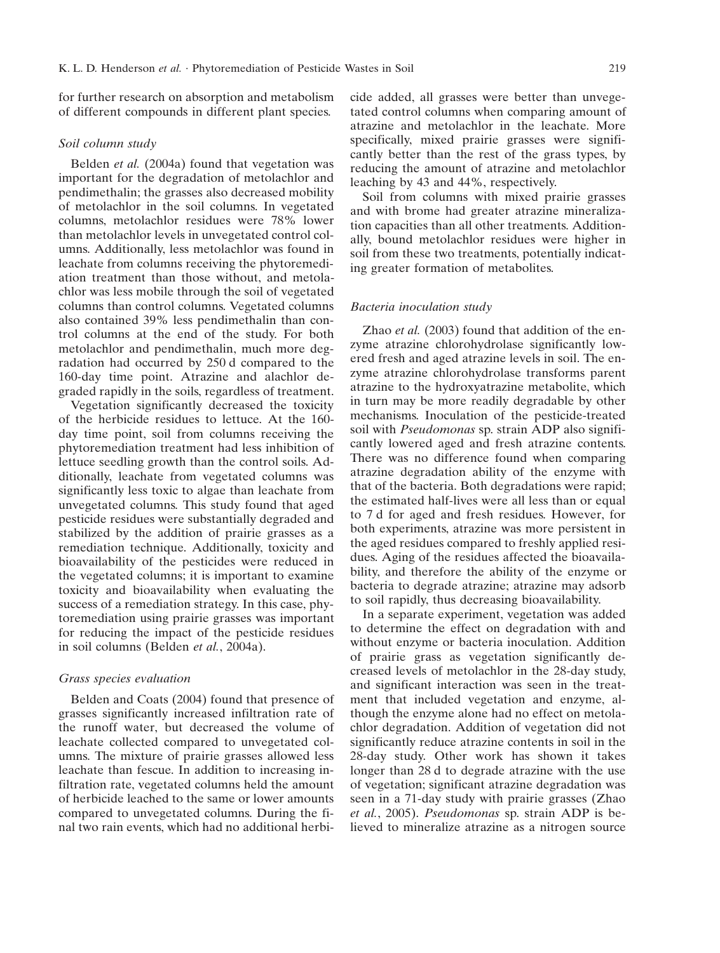for further research on absorption and metabolism of different compounds in different plant species.

#### *Soil column study*

Belden *et al.* (2004a) found that vegetation was important for the degradation of metolachlor and pendimethalin; the grasses also decreased mobility of metolachlor in the soil columns. In vegetated columns, metolachlor residues were 78% lower than metolachlor levels in unvegetated control columns. Additionally, less metolachlor was found in leachate from columns receiving the phytoremediation treatment than those without, and metolachlor was less mobile through the soil of vegetated columns than control columns. Vegetated columns also contained 39% less pendimethalin than control columns at the end of the study. For both metolachlor and pendimethalin, much more degradation had occurred by 250 d compared to the 160-day time point. Atrazine and alachlor degraded rapidly in the soils, regardless of treatment.

Vegetation significantly decreased the toxicity of the herbicide residues to lettuce. At the 160 day time point, soil from columns receiving the phytoremediation treatment had less inhibition of lettuce seedling growth than the control soils. Additionally, leachate from vegetated columns was significantly less toxic to algae than leachate from unvegetated columns. This study found that aged pesticide residues were substantially degraded and stabilized by the addition of prairie grasses as a remediation technique. Additionally, toxicity and bioavailability of the pesticides were reduced in the vegetated columns; it is important to examine toxicity and bioavailability when evaluating the success of a remediation strategy. In this case, phytoremediation using prairie grasses was important for reducing the impact of the pesticide residues in soil columns (Belden *et al.*, 2004a).

### *Grass species evaluation*

Belden and Coats (2004) found that presence of grasses significantly increased infiltration rate of the runoff water, but decreased the volume of leachate collected compared to unvegetated columns. The mixture of prairie grasses allowed less leachate than fescue. In addition to increasing infiltration rate, vegetated columns held the amount of herbicide leached to the same or lower amounts compared to unvegetated columns. During the final two rain events, which had no additional herbicide added, all grasses were better than unvegetated control columns when comparing amount of atrazine and metolachlor in the leachate. More specifically, mixed prairie grasses were significantly better than the rest of the grass types, by reducing the amount of atrazine and metolachlor leaching by 43 and 44%, respectively.

Soil from columns with mixed prairie grasses and with brome had greater atrazine mineralization capacities than all other treatments. Additionally, bound metolachlor residues were higher in soil from these two treatments, potentially indicating greater formation of metabolites.

### *Bacteria inoculation study*

Zhao *et al.* (2003) found that addition of the enzyme atrazine chlorohydrolase significantly lowered fresh and aged atrazine levels in soil. The enzyme atrazine chlorohydrolase transforms parent atrazine to the hydroxyatrazine metabolite, which in turn may be more readily degradable by other mechanisms. Inoculation of the pesticide-treated soil with *Pseudomonas* sp. strain ADP also significantly lowered aged and fresh atrazine contents. There was no difference found when comparing atrazine degradation ability of the enzyme with that of the bacteria. Both degradations were rapid; the estimated half-lives were all less than or equal to 7 d for aged and fresh residues. However, for both experiments, atrazine was more persistent in the aged residues compared to freshly applied residues. Aging of the residues affected the bioavailability, and therefore the ability of the enzyme or bacteria to degrade atrazine; atrazine may adsorb to soil rapidly, thus decreasing bioavailability.

In a separate experiment, vegetation was added to determine the effect on degradation with and without enzyme or bacteria inoculation. Addition of prairie grass as vegetation significantly decreased levels of metolachlor in the 28-day study, and significant interaction was seen in the treatment that included vegetation and enzyme, although the enzyme alone had no effect on metolachlor degradation. Addition of vegetation did not significantly reduce atrazine contents in soil in the 28-day study. Other work has shown it takes longer than 28 d to degrade atrazine with the use of vegetation; significant atrazine degradation was seen in a 71-day study with prairie grasses (Zhao *et al.*, 2005). *Pseudomonas* sp. strain ADP is believed to mineralize atrazine as a nitrogen source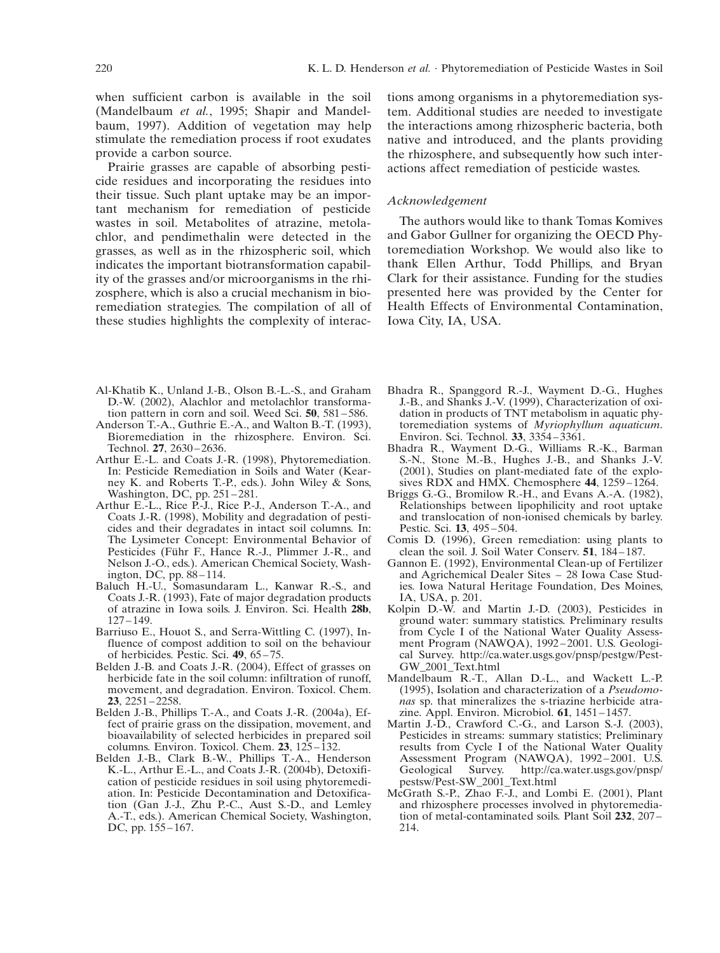when sufficient carbon is available in the soil (Mandelbaum *et al.*, 1995; Shapir and Mandelbaum, 1997). Addition of vegetation may help stimulate the remediation process if root exudates provide a carbon source.

Prairie grasses are capable of absorbing pesticide residues and incorporating the residues into their tissue. Such plant uptake may be an important mechanism for remediation of pesticide wastes in soil. Metabolites of atrazine, metolachlor, and pendimethalin were detected in the grasses, as well as in the rhizospheric soil, which indicates the important biotransformation capability of the grasses and/or microorganisms in the rhizosphere, which is also a crucial mechanism in bioremediation strategies. The compilation of all of these studies highlights the complexity of interac-

tions among organisms in a phytoremediation system. Additional studies are needed to investigate the interactions among rhizospheric bacteria, both native and introduced, and the plants providing the rhizosphere, and subsequently how such interactions affect remediation of pesticide wastes.

## *Acknowledgement*

The authors would like to thank Tomas Komives and Gabor Gullner for organizing the OECD Phytoremediation Workshop. We would also like to thank Ellen Arthur, Todd Phillips, and Bryan Clark for their assistance. Funding for the studies presented here was provided by the Center for Health Effects of Environmental Contamination, Iowa City, IA, USA.

- Al-Khatib K., Unland J.-B., Olson B.-L.-S., and Graham Bhadra R., Spanggord R.-J., Wayment D.-G., Hughes
- Anderson T.-A., Guthrie E.-A., and Walton B.-T. (1993), toremediation systems of *Myriophyla*<br>Bioremediation in the rhizosphere. Environ. Sci. Environ. Sci. Technol. 33, 3354–3361. Bioremediation in the rhizosphere. Environ. Sci. Technol. **27**, 2630–2636.
- Arthur E.-L. and Coats J.-R. (1998), Phytoremediation.<br>In: Pesticide Remediation in Soils and Water (Kearney K. and Roberts T.-P., eds.). John Wiley & Sons, Washington, DC, pp. 251–281.
- Arthur E.-L., Rice P.-J., Rice P.-J., Anderson T.-A., and Coats J.-R. (1998), Mobility and degradation of pesticides and their degradates in intact soil columns. In:<br>The Lysimeter Concept: Environmental Behavior of Pesticides (Führ F., Hance R.-J., Plimmer J.-R., and clean the soil. J. Soil Water Conserv. **51**, 184–187.<br>Nelson J.-O., eds.). American Chemical Society, Wash- Gannon E. (1992), Environmental Clean-up of Fertilizer Nelson J.-O., eds.). American Chemical Society, Wash-<br>ington, DC, pp. 88-114.
- Baluch H.-U., Somasundaram L., Kanwar R.-S., and ies. Iowa Natural Coats J.-R. (1993), Fate of major degradation products IA, USA, p. 201. Coats J.-R. (1993), Fate of major degradation products of atrazine in Iowa soils. J. Environ. Sci. Health 28b,
- Barriuso E., Houot S., and Serra-Wittling C. (1997), In-
- Belden J.-B. and Coats J.-R. (2004), Effect of grasses on GW\_2001\_Text.html movement, and degradation. Environ. Toxicol. Chem.<br>**23**, 2251–2258.
- Belden J.-B., Phillips T.-A., and Coats J.-R. (2004a), Effect of prairie grass on the dissipation, movement, and fect of prairie grass on the dissipation, movement, and Martin J.-D., Crawford C.-G., and Larson S.-J. (2003), bioavailability of selected herbicides in prepared soil Pesticides in streams: summary statistics; Preliminary
- Belden J.-B., Clark B.-W., Phillips T.-A., Henderson Assessment Program K.-L., Arthur E.-L., and Coats J.-R. (2004b), Detoxifi- Geological Survey. cation of pesticide residues in soil using phytoremedi-<br>ation. In: Pesticide Decontamination and Detoxifica-DC, pp.  $155-167.$  214.
- D.-W. (2002), Alachlor and metolachlor transforma-<br>
L-B., and Shanks J.-V. (1999), Characterization of oxi-<br>
tion pattern in corn and soil. Weed Sci. 50, 581–586. dation in products of TNT metabolism in aquatic phydation in products of TNT metabolism in aquatic phy-<br>toremediation systems of *Myriophyllum aquaticum*.
	- Bhadra R., Wayment D.-G., Williams R.-K., Barman S.-N., Stone M.-B., Hughes J.-B., and Shanks J.-V.  $(2001)$ , Studies on plant-mediated fate of the explosives RDX and HMX. Chemosphere **44**,  $1259-1264$ .
	- Briggs G.-G., Bromilow R.-H., and Evans A.-A. (1982), Relationships between lipophilicity and root uptake and translocation of non-ionised chemicals by barley.<br>Pestic. Sci. 13, 495–504.
	- Comis D. (1996), Green remediation: using plants to clean the soil. J. Soil Water Conserv. 51, 184–187.
	- and Agrichemical Dealer Sites 28 Iowa Case Stud-<br>ies. Iowa Natural Heritage Foundation, Des Moines,
- of atrazine in Iowa soils. J. Environ. Sci. Health **28b**, Kolpin D.-W. and Martin J.-D. (2003), Pesticides in ground water: summary statistics. Preliminary results<br>from Cycle I of the National Water Ouality Assessfluence of compost addition to soil on the behaviour ment Program (NAWQA), 1992–2001. U.S. Geologi-<br>of herbicides. Pestic. Sci. 49, 65–75. <br>cal Survey. http://ca.water.usgs.gov/pnsp/pestgw/Pestcal Survey. http://ca.water.usgs.gov/pnsp/pestgw/Pest-
- herbicide fate in the soil column: infiltration of runoff, Mandelbaum R.-T., Allan D.-L., and Wackett L.-P. movement, and degradation. Environ. Toxicol. Chem. (1995), Isolation and characterization of a *Pseudomonas* sp. that mineralizes the s-triazine herbicide atra-<br>zine. Appl. Environ. Microbiol. **61**, 1451–1457.
- bioavailability of selected herbicides in prepared soil Pesticides in streams: summary statistics; Preliminary columns. Environ. Toxicol. Chem. 23. 125–132. The results from Cycle I of the National Water Ouality results from Cycle I of the National Water Quality<br>Assessment Program (NAWQA), 1992–2001. U.S. K.-L., Arthur E.-L., and Coats J.-R. (2004b), Detoxifi-<br>
cation of pesticide residues in soil using phytoremedi-<br>
pestsw/Pest-SW\_2001\_Text.html
- ation. In: Pesticide Decontamination and Detoxifica- McGrath S.-P., Zhao F.-J., and Lombi E. (2001), Plant tion (Gan J.-J., Zhu P.-C., Aust S.-D., and Lemley and rhizosphere processes involved in phytoremediaand rhizosphere processes involved in phytoremedia-A.-T., eds.). American Chemical Society, Washington, tion of metal-contaminated soils. Plant Soil 232, 207–